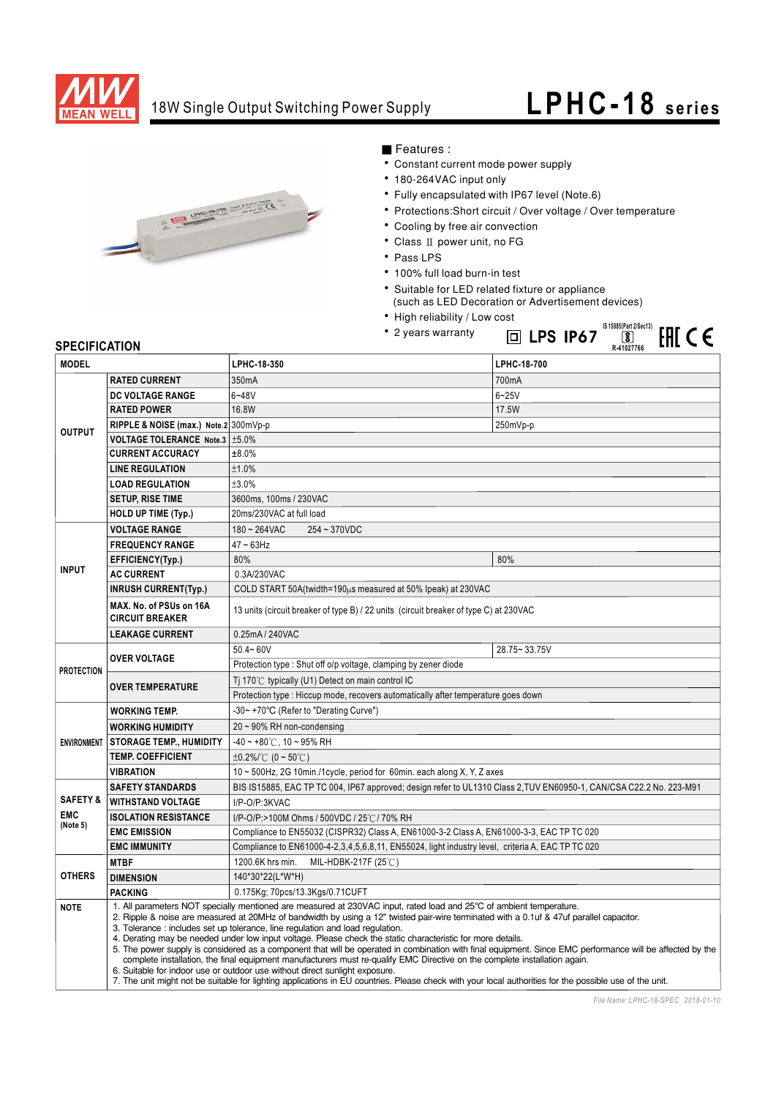

## 18W Single Output Switching Power Supply

## **LPHC-18 series**

**IS 15885(Part 2/Sec13)**

**EHICE** 



- Features :
- Constant current mode power supply
- 180-264VAC input only
- Fully encapsulated with IP67 level (Note.6)
- Protections: Short circuit / Over voltage / Over temperature
- Cooling by free air convection
- $\bullet$  Class II power unit, no FG
- Pass LPS
- · 100% full load burn-in test
- Suitable for LED related fixture or appliance
	- (such as LED Decoration or Advertisement devices)

**LPS IP67**

- High reliability / Low cost
- 2 years warranty

## **SPECIFICATION**

| <b>SPECIFICATION</b> |                                                                                                                         |                                                                                                                                                                                                                                                                                                                                                                                                                                                                                                                                                                                                                                                                                                                                                                                                                                                                                                                                                                                                      | ш lfj ifo <i>i</i><br>لقا<br>LUL L C<br>R-41027766 |  |
|----------------------|-------------------------------------------------------------------------------------------------------------------------|------------------------------------------------------------------------------------------------------------------------------------------------------------------------------------------------------------------------------------------------------------------------------------------------------------------------------------------------------------------------------------------------------------------------------------------------------------------------------------------------------------------------------------------------------------------------------------------------------------------------------------------------------------------------------------------------------------------------------------------------------------------------------------------------------------------------------------------------------------------------------------------------------------------------------------------------------------------------------------------------------|----------------------------------------------------|--|
| <b>MODEL</b>         |                                                                                                                         | LPHC-18-350                                                                                                                                                                                                                                                                                                                                                                                                                                                                                                                                                                                                                                                                                                                                                                                                                                                                                                                                                                                          | LPHC-18-700                                        |  |
| <b>OUTPUT</b>        | <b>RATED CURRENT</b>                                                                                                    | 350mA                                                                                                                                                                                                                                                                                                                                                                                                                                                                                                                                                                                                                                                                                                                                                                                                                                                                                                                                                                                                | 700mA                                              |  |
|                      | DC VOLTAGE RANGE                                                                                                        | $6 - 48V$                                                                                                                                                                                                                                                                                                                                                                                                                                                                                                                                                                                                                                                                                                                                                                                                                                                                                                                                                                                            | $6 - 25V$                                          |  |
|                      | <b>RATED POWER</b>                                                                                                      | 16.8W                                                                                                                                                                                                                                                                                                                                                                                                                                                                                                                                                                                                                                                                                                                                                                                                                                                                                                                                                                                                | 17.5W                                              |  |
|                      | RIPPLE & NOISE (max.) Note.2 300mVp-p                                                                                   |                                                                                                                                                                                                                                                                                                                                                                                                                                                                                                                                                                                                                                                                                                                                                                                                                                                                                                                                                                                                      | 250mVp-p                                           |  |
|                      | VOLTAGE TOLERANCE Note.3   ±5.0%                                                                                        |                                                                                                                                                                                                                                                                                                                                                                                                                                                                                                                                                                                                                                                                                                                                                                                                                                                                                                                                                                                                      |                                                    |  |
|                      | <b>CURRENT ACCURACY</b>                                                                                                 | ±8.0%                                                                                                                                                                                                                                                                                                                                                                                                                                                                                                                                                                                                                                                                                                                                                                                                                                                                                                                                                                                                |                                                    |  |
|                      | <b>LINE REGULATION</b>                                                                                                  | ±1.0%                                                                                                                                                                                                                                                                                                                                                                                                                                                                                                                                                                                                                                                                                                                                                                                                                                                                                                                                                                                                |                                                    |  |
|                      | <b>LOAD REGULATION</b>                                                                                                  | ±3.0%                                                                                                                                                                                                                                                                                                                                                                                                                                                                                                                                                                                                                                                                                                                                                                                                                                                                                                                                                                                                |                                                    |  |
|                      | <b>SETUP, RISE TIME</b>                                                                                                 | 3600ms, 100ms / 230VAC                                                                                                                                                                                                                                                                                                                                                                                                                                                                                                                                                                                                                                                                                                                                                                                                                                                                                                                                                                               |                                                    |  |
|                      | <b>HOLD UP TIME (Typ.)</b>                                                                                              | 20ms/230VAC at full load                                                                                                                                                                                                                                                                                                                                                                                                                                                                                                                                                                                                                                                                                                                                                                                                                                                                                                                                                                             |                                                    |  |
| <b>INPUT</b>         | <b>VOLTAGE RANGE</b>                                                                                                    | $180 - 264$ VAC<br>254~370VDC                                                                                                                                                                                                                                                                                                                                                                                                                                                                                                                                                                                                                                                                                                                                                                                                                                                                                                                                                                        |                                                    |  |
|                      | <b>FREQUENCY RANGE</b>                                                                                                  | $47 - 63$ Hz                                                                                                                                                                                                                                                                                                                                                                                                                                                                                                                                                                                                                                                                                                                                                                                                                                                                                                                                                                                         |                                                    |  |
|                      | EFFICIENCY(Typ.)                                                                                                        | 80%                                                                                                                                                                                                                                                                                                                                                                                                                                                                                                                                                                                                                                                                                                                                                                                                                                                                                                                                                                                                  | 80%                                                |  |
|                      | <b>AC CURRENT</b>                                                                                                       | 0.3A/230VAC                                                                                                                                                                                                                                                                                                                                                                                                                                                                                                                                                                                                                                                                                                                                                                                                                                                                                                                                                                                          |                                                    |  |
|                      | <b>INRUSH CURRENT(Typ.)</b>                                                                                             | COLD START 50A (twidth=190us measured at 50% Ipeak) at 230VAC                                                                                                                                                                                                                                                                                                                                                                                                                                                                                                                                                                                                                                                                                                                                                                                                                                                                                                                                        |                                                    |  |
|                      | MAX. No. of PSUs on 16A<br><b>CIRCUIT BREAKER</b>                                                                       | 13 units (circuit breaker of type B) / 22 units (circuit breaker of type C) at 230VAC                                                                                                                                                                                                                                                                                                                                                                                                                                                                                                                                                                                                                                                                                                                                                                                                                                                                                                                |                                                    |  |
|                      | <b>LEAKAGE CURRENT</b>                                                                                                  | 0.25mA / 240VAC                                                                                                                                                                                                                                                                                                                                                                                                                                                                                                                                                                                                                                                                                                                                                                                                                                                                                                                                                                                      |                                                    |  |
| <b>PROTECTION</b>    | <b>OVER VOLTAGE</b>                                                                                                     | $50.4 - 60V$                                                                                                                                                                                                                                                                                                                                                                                                                                                                                                                                                                                                                                                                                                                                                                                                                                                                                                                                                                                         | 28.75~33.75V                                       |  |
|                      |                                                                                                                         | Protection type: Shut off o/p voltage, clamping by zener diode                                                                                                                                                                                                                                                                                                                                                                                                                                                                                                                                                                                                                                                                                                                                                                                                                                                                                                                                       |                                                    |  |
|                      | <b>OVER TEMPERATURE</b>                                                                                                 | Ti 170 $\degree$ C typically (U1) Detect on main control IC                                                                                                                                                                                                                                                                                                                                                                                                                                                                                                                                                                                                                                                                                                                                                                                                                                                                                                                                          |                                                    |  |
|                      |                                                                                                                         | Protection type : Hiccup mode, recovers automatically after temperature goes down                                                                                                                                                                                                                                                                                                                                                                                                                                                                                                                                                                                                                                                                                                                                                                                                                                                                                                                    |                                                    |  |
| <b>ENVIRONMENT</b>   | <b>WORKING TEMP.</b>                                                                                                    | -30~ +70°C (Refer to "Derating Curve")                                                                                                                                                                                                                                                                                                                                                                                                                                                                                                                                                                                                                                                                                                                                                                                                                                                                                                                                                               |                                                    |  |
|                      | <b>WORKING HUMIDITY</b>                                                                                                 | 20 ~ 90% RH non-condensing                                                                                                                                                                                                                                                                                                                                                                                                                                                                                                                                                                                                                                                                                                                                                                                                                                                                                                                                                                           |                                                    |  |
|                      | <b>STORAGE TEMP., HUMIDITY</b>                                                                                          | $-40 \sim +80^{\circ}$ C, 10 ~ 95% RH                                                                                                                                                                                                                                                                                                                                                                                                                                                                                                                                                                                                                                                                                                                                                                                                                                                                                                                                                                |                                                    |  |
|                      | <b>TEMP. COEFFICIENT</b>                                                                                                | ±0.2%/°C (0 ~ 50°C)                                                                                                                                                                                                                                                                                                                                                                                                                                                                                                                                                                                                                                                                                                                                                                                                                                                                                                                                                                                  |                                                    |  |
|                      | <b>VIBRATION</b>                                                                                                        | 10 ~ 500Hz, 2G 10min./1cycle, period for 60min. each along X, Y, Z axes                                                                                                                                                                                                                                                                                                                                                                                                                                                                                                                                                                                                                                                                                                                                                                                                                                                                                                                              |                                                    |  |
|                      | <b>SAFETY STANDARDS</b>                                                                                                 | BIS IS15885, EAC TP TC 004, IP67 approved; design refer to UL1310 Class 2, TUV EN60950-1, CAN/CSA C22.2 No. 223-M91                                                                                                                                                                                                                                                                                                                                                                                                                                                                                                                                                                                                                                                                                                                                                                                                                                                                                  |                                                    |  |
| <b>SAFETY &amp;</b>  | <b>WITHSTAND VOLTAGE</b>                                                                                                | I/P-O/P:3KVAC                                                                                                                                                                                                                                                                                                                                                                                                                                                                                                                                                                                                                                                                                                                                                                                                                                                                                                                                                                                        |                                                    |  |
| <b>EMC</b>           | <b>ISOLATION RESISTANCE</b>                                                                                             | I/P-O/P:>100M Ohms / 500VDC / 25℃/ 70% RH<br>Compliance to EN55032 (CISPR32) Class A, EN61000-3-2 Class A, EN61000-3-3, EAC TP TC 020                                                                                                                                                                                                                                                                                                                                                                                                                                                                                                                                                                                                                                                                                                                                                                                                                                                                |                                                    |  |
| (Note 5)             | <b>EMC EMISSION</b>                                                                                                     |                                                                                                                                                                                                                                                                                                                                                                                                                                                                                                                                                                                                                                                                                                                                                                                                                                                                                                                                                                                                      |                                                    |  |
|                      | Compliance to EN61000-4-2,3,4,5,6,8,11, EN55024, light industry level, criteria A, EAC TP TC 020<br><b>EMC IMMUNITY</b> |                                                                                                                                                                                                                                                                                                                                                                                                                                                                                                                                                                                                                                                                                                                                                                                                                                                                                                                                                                                                      |                                                    |  |
|                      | <b>MTBF</b>                                                                                                             | 1200.6K hrs min.<br>MIL-HDBK-217F $(25^{\circ}\text{C})$                                                                                                                                                                                                                                                                                                                                                                                                                                                                                                                                                                                                                                                                                                                                                                                                                                                                                                                                             |                                                    |  |
| <b>OTHERS</b>        | <b>DIMENSION</b>                                                                                                        | 140*30*22(L*W*H)                                                                                                                                                                                                                                                                                                                                                                                                                                                                                                                                                                                                                                                                                                                                                                                                                                                                                                                                                                                     |                                                    |  |
|                      | <b>PACKING</b>                                                                                                          | 0.175Kg; 70pcs/13.3Kgs/0.71CUFT                                                                                                                                                                                                                                                                                                                                                                                                                                                                                                                                                                                                                                                                                                                                                                                                                                                                                                                                                                      |                                                    |  |
| <b>NOTE</b>          |                                                                                                                         | 1. All parameters NOT specially mentioned are measured at 230VAC input, rated load and 25°C of ambient temperature.<br>2. Ripple & noise are measured at 20MHz of bandwidth by using a 12" twisted pair-wire terminated with a 0.1uf & 47uf parallel capacitor.<br>3. Tolerance: includes set up tolerance, line regulation and load regulation.<br>4. Derating may be needed under low input voltage. Please check the static characteristic for more details.<br>5. The power supply is considered as a component that will be operated in combination with final equipment. Since EMC performance will be affected by the<br>complete installation, the final equipment manufacturers must re-qualify EMC Directive on the complete installation again.<br>6. Suitable for indoor use or outdoor use without direct sunlight exposure.<br>7. The unit might not be suitable for lighting applications in EU countries. Please check with your local authorities for the possible use of the unit. |                                                    |  |